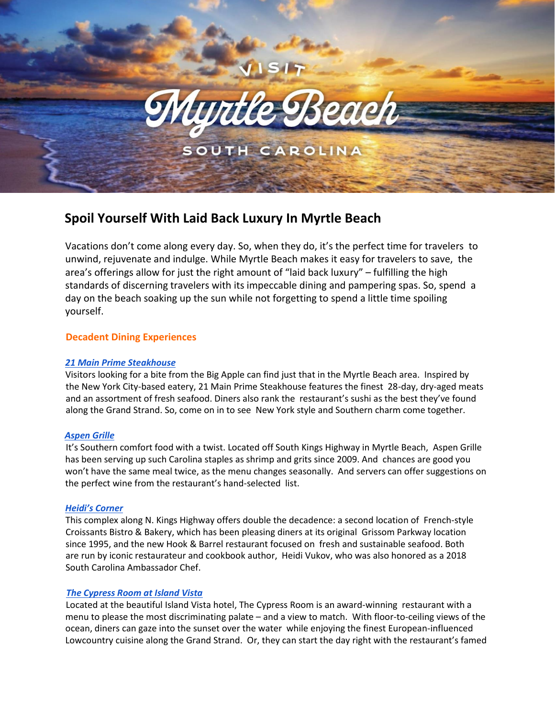

# **Spoil Yourself With Laid Back Luxury In Myrtle Beach**

Vacations don't come along every day. So, when they do, it's the perfect time for travelers to unwind, rejuvenate and indulge. While Myrtle Beach makes it easy for travelers to save, the area's offerings allow for just the right amount of "laid back luxury" – fulfilling the high standards of discerning travelers with its impeccable dining and pampering spas. So, spend a day on the beach soaking up the sun while not forgetting to spend a little time spoiling yourself.

## **Decadent Dining Experiences**

## *[21 Main Prime Steakhouse](http://www.21mainatnorthbeach.com/)*

Visitors looking for a bite from the Big Apple can find just that in the Myrtle Beach area. Inspired by the New York City-based eatery, 21 Main Prime Steakhouse features the finest 28-day, dry-aged meats and an assortment of fresh seafood. Diners also rank the restaurant's sushi as the best they've found along the Grand Strand. So, come on in to see New York style and Southern charm come together.

## *[Aspen Grille](http://aspen-grille.com/AspenGrille/)*

It's Southern comfort food with a twist. Located off South Kings Highway in Myrtle Beach, Aspen Grille has been serving up such Carolina staples as shrimp and grits since 2009. And chances are good you won't have the same meal twice, as the menu changes seasonally. And servers can offer suggestions on the perfect wine from the restaurant's hand-selected list.

## *[Heidi's Corner](https://heidiscornersc.com/)*

This complex along N. Kings Highway offers double the decadence: a second location of French-style Croissants Bistro & Bakery, which has been pleasing diners at its original Grissom Parkway location since 1995, and the new Hook & Barrel restaurant focused on fresh and sustainable seafood. Both are run by iconic restaurateur and cookbook author, Heidi Vukov, who was also honored as a 2018 South Carolina Ambassador Chef.

## *[The Cypress Room at Island Vista](https://islandvista.com/dining-myrtle-beach/)*

Located at the beautiful Island Vista hotel, The Cypress Room is an award-winning restaurant with a menu to please the most discriminating palate – and a view to match. With floor-to-ceiling views of the ocean, diners can gaze into the sunset over the water while enjoying the finest European-influenced Lowcountry cuisine along the Grand Strand. Or, they can start the day right with the restaurant's famed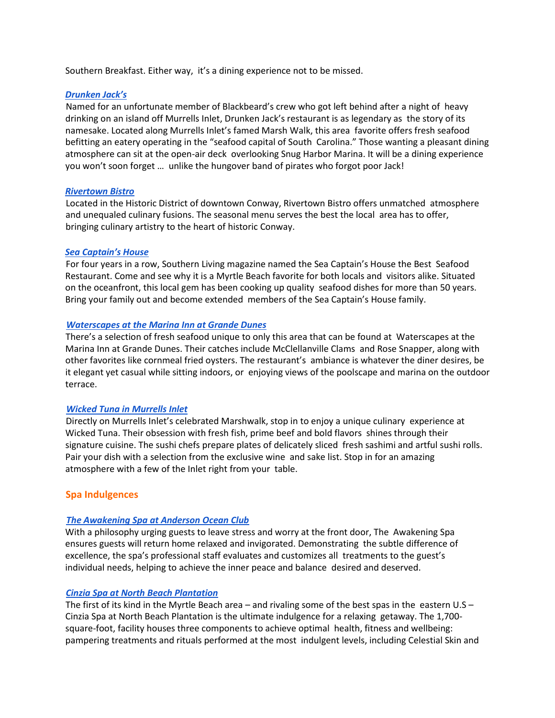Southern Breakfast. Either way, it's a dining experience not to be missed.

### *[Drunken Jack's](http://drunkenjacks.com/)*

Named for an unfortunate member of Blackbeard's crew who got left behind after a night of heavy drinking on an island off Murrells Inlet, Drunken Jack's restaurant is as legendary as the story of its namesake. Located along Murrells Inlet's famed Marsh Walk, this area favorite offers fresh seafood befitting an eatery operating in the "seafood capital of South Carolina." Those wanting a pleasant dining atmosphere can sit at the open-air deck overlooking Snug Harbor Marina. It will be a dining experience you won't soon forget … unlike the hungover band of pirates who forgot poor Jack!

### *[Rivertown Bistro](https://www.rivertownbistro.com/)*

Located in the Historic District of downtown Conway, Rivertown Bistro offers unmatched atmosphere and unequaled culinary fusions. The seasonal menu serves the best the local area has to offer, bringing culinary artistry to the heart of historic Conway.

### *[Sea Captain's House](https://www.seacaptains.com/)*

For four years in a row, Southern Living magazine named the Sea Captain's House the Best Seafood Restaurant. Come and see why it is a Myrtle Beach favorite for both locals and visitors alike. Situated on the oceanfront, this local gem has been cooking up quality seafood dishes for more than 50 years. Bring your family out and become extended members of the Sea Captain's House family.

### *[Waterscapes at the Marina Inn at Grande Dunes](http://www.marinainnatgrandedunes.com/din_waterscapes.html)*

There's a selection of fresh seafood unique to only this area that can be found at Waterscapes at the Marina Inn at Grande Dunes. Their catches include McClellanville Clams and Rose Snapper, along with other favorites like cornmeal fried oysters. The restaurant's ambiance is whatever the diner desires, be it elegant yet casual while sitting indoors, or enjoying views of the poolscape and marina on the outdoor terrace.

#### *[Wicked Tuna in Murrells Inlet](https://www.thewickedtuna.com/)*

Directly on Murrells Inlet's celebrated Marshwalk, stop in to enjoy a unique culinary experience at Wicked Tuna. Their obsession with fresh fish, prime beef and bold flavors shines through their signature cuisine. The sushi chefs prepare plates of delicately sliced fresh sashimi and artful sushi rolls. Pair your dish with a selection from the exclusive wine and sake list. Stop in for an amazing atmosphere with a few of the Inlet right from your table.

## **Spa Indulgences**

## *[The Awakening Spa at Anderson Ocean Club](https://www.andersonoceanclub.com/awakening-spa-myrtle-beach/)*

With a philosophy urging guests to leave stress and worry at the front door, The Awakening Spa ensures guests will return home relaxed and invigorated. Demonstrating the subtle difference of excellence, the spa's professional staff evaluates and customizes all treatments to the guest's individual needs, helping to achieve the inner peace and balance desired and deserved.

## *[Cinzia Spa at North Beach Plantation](http://www.thecinziaspa.com/)*

The first of its kind in the Myrtle Beach area – and rivaling some of the best spas in the eastern U.S – Cinzia Spa at North Beach Plantation is the ultimate indulgence for a relaxing getaway. The 1,700 square-foot, facility houses three components to achieve optimal health, fitness and wellbeing: pampering treatments and rituals performed at the most indulgent levels, including Celestial Skin and